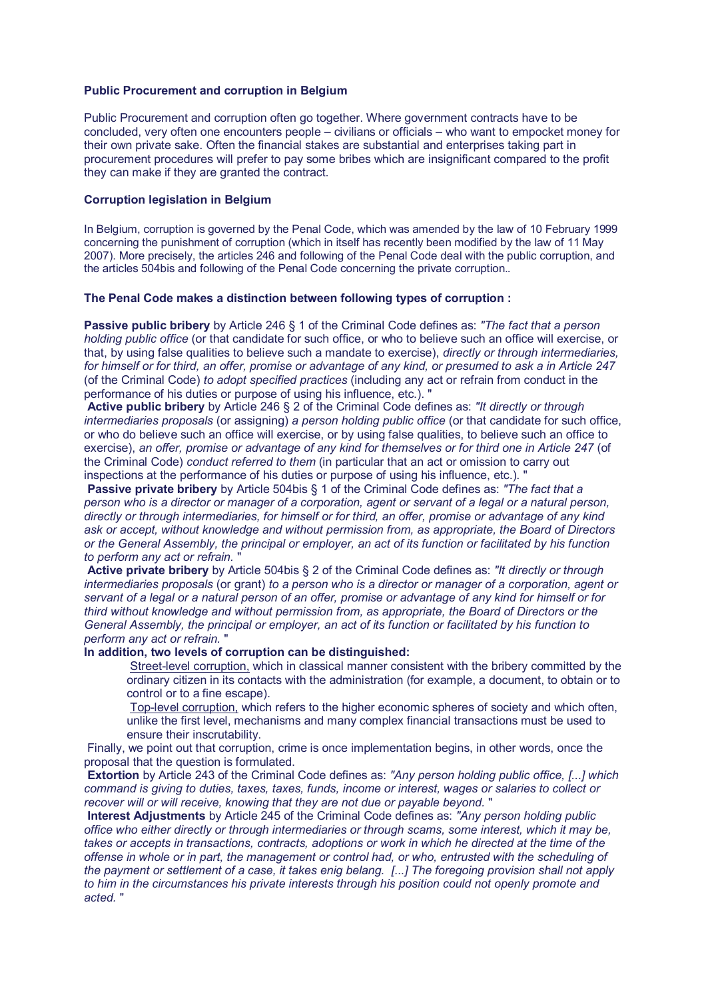# **Public Procurement and corruption in Belgium**

Public Procurement and corruption often go together. Where government contracts have to be concluded, very often one encounters people – civilians or officials – who want to empocket money for their own private sake. Often the financial stakes are substantial and enterprises taking part in procurement procedures will prefer to pay some bribes which are insignificant compared to the profit they can make if they are granted the contract.

## **Corruption legislation in Belgium**

In Belgium, corruption is governed by the Penal Code, which was amended by the law of 10 February 1999 concerning the punishment of corruption (which in itself has recently been modified by the law of 11 May 2007). More precisely, the articles 246 and following of the Penal Code deal with the public corruption, and the articles 504bis and following of the Penal Code concerning the private corruption..

## **The Penal Code makes a distinction between following types of corruption :**

**Passive public bribery** by Article 246 § 1 of the Criminal Code defines as: *"The fact that a person holding public office* (or that candidate for such office, or who to believe such an office will exercise, or that, by using false qualities to believe such a mandate to exercise), *directly or through intermediaries, for himself or for third, an offer, promise or advantage of any kind, or presumed to ask a in Article 247* (of the Criminal Code) *to adopt specified practices* (including any act or refrain from conduct in the performance of his duties or purpose of using his influence, etc.). "

**Active public bribery** by Article 246 § 2 of the Criminal Code defines as: *"It directly or through intermediaries proposals* (or assigning) *a person holding public office* (or that candidate for such office, or who do believe such an office will exercise, or by using false qualities, to believe such an office to exercise), *an offer, promise or advantage of any kind for themselves or for third one in Article 247* (of the Criminal Code) *conduct referred to them* (in particular that an act or omission to carry out inspections at the performance of his duties or purpose of using his influence, etc.). "

**Passive private bribery** by Article 504bis § 1 of the Criminal Code defines as: *"The fact that a person who is a director or manager of a corporation, agent or servant of a legal or a natural person, directly or through intermediaries, for himself or for third, an offer, promise or advantage of any kind ask or accept, without knowledge and without permission from, as appropriate, the Board of Directors or the General Assembly, the principal or employer, an act of its function or facilitated by his function to perform any act or refrain.* "

**Active private bribery** by Article 504bis § 2 of the Criminal Code defines as: *"It directly or through intermediaries proposals* (or grant) *to a person who is a director or manager of a corporation, agent or servant of a legal or a natural person of an offer, promise or advantage of any kind for himself or for third without knowledge and without permission from, as appropriate, the Board of Directors or the General Assembly, the principal or employer, an act of its function or facilitated by his function to perform any act or refrain.* "

# **In addition, two levels of corruption can be distinguished:**

Street-level corruption, which in classical manner consistent with the bribery committed by the ordinary citizen in its contacts with the administration (for example, a document, to obtain or to control or to a fine escape).

Top-level corruption, which refers to the higher economic spheres of society and which often, unlike the first level, mechanisms and many complex financial transactions must be used to ensure their inscrutability.

 Finally, we point out that corruption, crime is once implementation begins, in other words, once the proposal that the question is formulated.

**Extortion** by Article 243 of the Criminal Code defines as: *"Any person holding public office, [...] which command is giving to duties, taxes, taxes, funds, income or interest, wages or salaries to collect or recover will or will receive, knowing that they are not due or payable beyond.* "

**Interest Adjustments** by Article 245 of the Criminal Code defines as: *"Any person holding public office who either directly or through intermediaries or through scams, some interest, which it may be,*  takes or accepts in transactions, contracts, adoptions or work in which he directed at the time of the *offense in whole or in part, the management or control had, or who, entrusted with the scheduling of the payment or settlement of a case, it takes enig belang. [...] The foregoing provision shall not apply to him in the circumstances his private interests through his position could not openly promote and acted.* "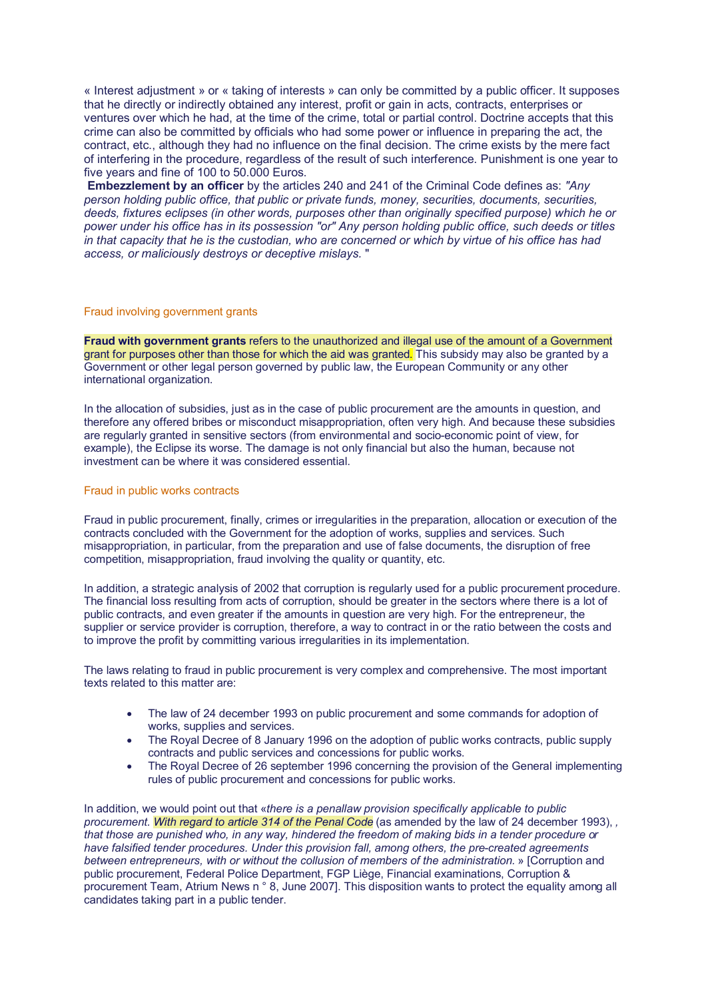« Interest adjustment » or « taking of interests » can only be committed by a public officer. It supposes that he directly or indirectly obtained any interest, profit or gain in acts, contracts, enterprises or ventures over which he had, at the time of the crime, total or partial control. Doctrine accepts that this crime can also be committed by officials who had some power or influence in preparing the act, the contract, etc., although they had no influence on the final decision. The crime exists by the mere fact of interfering in the procedure, regardless of the result of such interference. Punishment is one year to five years and fine of 100 to 50.000 Euros.

**Embezzlement by an officer** by the articles 240 and 241 of the Criminal Code defines as: *"Any person holding public office, that public or private funds, money, securities, documents, securities, deeds, fixtures eclipses (in other words, purposes other than originally specified purpose) which he or power under his office has in its possession "or" Any person holding public office, such deeds or titles in that capacity that he is the custodian, who are concerned or which by virtue of his office has had access, or maliciously destroys or deceptive mislays.* "

#### Fraud involving government grants

**Fraud with government grants** refers to the unauthorized and illegal use of the amount of a Government grant for purposes other than those for which the aid was granted. This subsidy may also be granted by a Government or other legal person governed by public law, the European Community or any other international organization.

In the allocation of subsidies, just as in the case of public procurement are the amounts in question, and therefore any offered bribes or misconduct misappropriation, often very high. And because these subsidies are regularly granted in sensitive sectors (from environmental and socio-economic point of view, for example), the Eclipse its worse. The damage is not only financial but also the human, because not investment can be where it was considered essential.

#### Fraud in public works contracts

Fraud in public procurement, finally, crimes or irregularities in the preparation, allocation or execution of the contracts concluded with the Government for the adoption of works, supplies and services. Such misappropriation, in particular, from the preparation and use of false documents, the disruption of free competition, misappropriation, fraud involving the quality or quantity, etc.

In addition, a strategic analysis of 2002 that corruption is regularly used for a public procurement procedure. The financial loss resulting from acts of corruption, should be greater in the sectors where there is a lot of public contracts, and even greater if the amounts in question are very high. For the entrepreneur, the supplier or service provider is corruption, therefore, a way to contract in or the ratio between the costs and to improve the profit by committing various irregularities in its implementation.

The laws relating to fraud in public procurement is very complex and comprehensive. The most important texts related to this matter are:

- The law of 24 december 1993 on public procurement and some commands for adoption of works, supplies and services.
- The Royal Decree of 8 January 1996 on the adoption of public works contracts, public supply contracts and public services and concessions for public works.
- The Royal Decree of 26 september 1996 concerning the provision of the General implementing rules of public procurement and concessions for public works.

In addition, we would point out that «*there is a penallaw provision specifically applicable to public procurement. With regard to article 314 of the Penal Code* (as amended by the law of 24 december 1993), *, that those are punished who, in any way, hindered the freedom of making bids in a tender procedure or have falsified tender procedures. Under this provision fall, among others, the pre-created agreements between entrepreneurs, with or without the collusion of members of the administration.* » [Corruption and public procurement, Federal Police Department, FGP Liège, Financial examinations, Corruption & procurement Team, Atrium News n ° 8, June 2007]. This disposition wants to protect the equality among all candidates taking part in a public tender.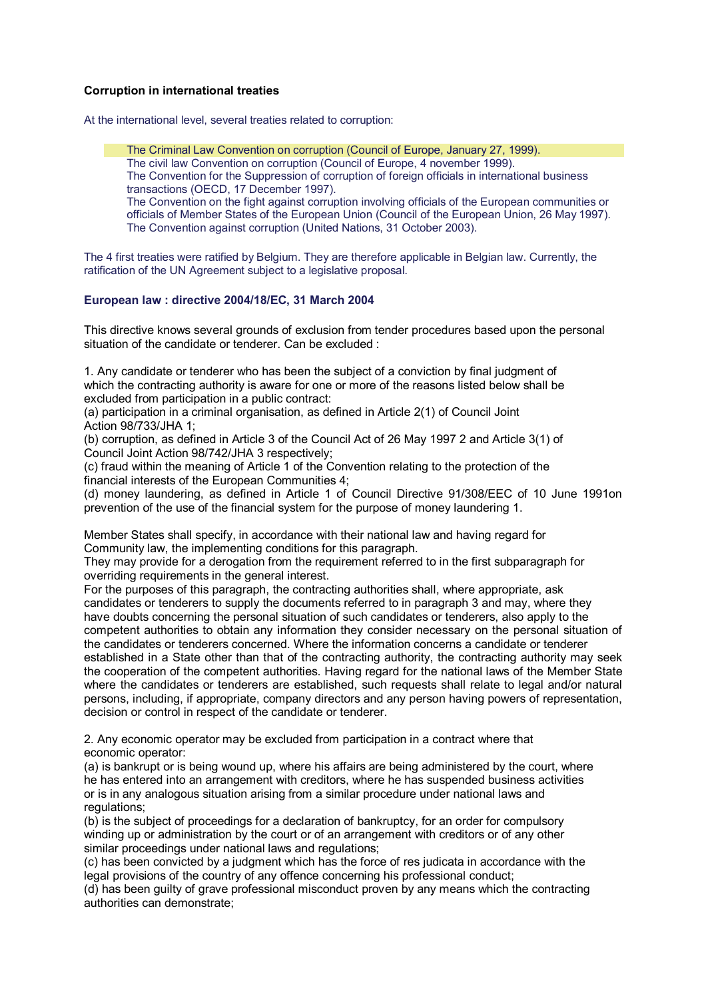# **Corruption in international treaties**

At the international level, several treaties related to corruption:

The Criminal Law Convention on corruption (Council of Europe, January 27, 1999). The civil law Convention on corruption (Council of Europe, 4 november 1999). The Convention for the Suppression of corruption of foreign officials in international business transactions (OECD, 17 December 1997). The Convention on the fight against corruption involving officials of the European communities or officials of Member States of the European Union (Council of the European Union, 26 May 1997). The Convention against corruption (United Nations, 31 October 2003).

The 4 first treaties were ratified by Belgium. They are therefore applicable in Belgian law. Currently, the ratification of the UN Agreement subject to a legislative proposal.

# **European law : directive 2004/18/EC, 31 March 2004**

This directive knows several grounds of exclusion from tender procedures based upon the personal situation of the candidate or tenderer. Can be excluded :

1. Any candidate or tenderer who has been the subject of a conviction by final judgment of which the contracting authority is aware for one or more of the reasons listed below shall be excluded from participation in a public contract:

(a) participation in a criminal organisation, as defined in Article 2(1) of Council Joint Action 98/733/JHA 1;

(b) corruption, as defined in Article 3 of the Council Act of 26 May 1997 2 and Article 3(1) of Council Joint Action 98/742/JHA 3 respectively;

(c) fraud within the meaning of Article 1 of the Convention relating to the protection of the financial interests of the European Communities 4;

(d) money laundering, as defined in Article 1 of Council Directive 91/308/EEC of 10 June 1991on prevention of the use of the financial system for the purpose of money laundering 1.

Member States shall specify, in accordance with their national law and having regard for Community law, the implementing conditions for this paragraph.

They may provide for a derogation from the requirement referred to in the first subparagraph for overriding requirements in the general interest.

For the purposes of this paragraph, the contracting authorities shall, where appropriate, ask candidates or tenderers to supply the documents referred to in paragraph 3 and may, where they have doubts concerning the personal situation of such candidates or tenderers, also apply to the competent authorities to obtain any information they consider necessary on the personal situation of the candidates or tenderers concerned. Where the information concerns a candidate or tenderer established in a State other than that of the contracting authority, the contracting authority may seek the cooperation of the competent authorities. Having regard for the national laws of the Member State where the candidates or tenderers are established, such requests shall relate to legal and/or natural persons, including, if appropriate, company directors and any person having powers of representation, decision or control in respect of the candidate or tenderer.

2. Any economic operator may be excluded from participation in a contract where that economic operator:

(a) is bankrupt or is being wound up, where his affairs are being administered by the court, where he has entered into an arrangement with creditors, where he has suspended business activities or is in any analogous situation arising from a similar procedure under national laws and regulations;

(b) is the subject of proceedings for a declaration of bankruptcy, for an order for compulsory winding up or administration by the court or of an arrangement with creditors or of any other similar proceedings under national laws and regulations;

(c) has been convicted by a judgment which has the force of res judicata in accordance with the legal provisions of the country of any offence concerning his professional conduct;

(d) has been guilty of grave professional misconduct proven by any means which the contracting authorities can demonstrate;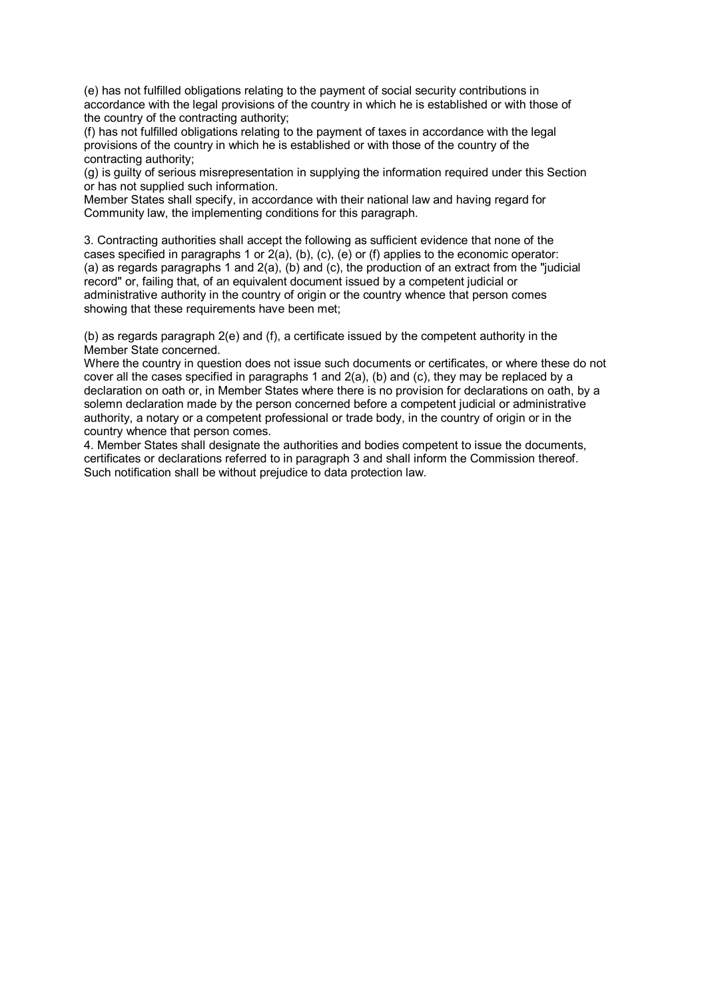(e) has not fulfilled obligations relating to the payment of social security contributions in accordance with the legal provisions of the country in which he is established or with those of the country of the contracting authority;

(f) has not fulfilled obligations relating to the payment of taxes in accordance with the legal provisions of the country in which he is established or with those of the country of the contracting authority;

(g) is guilty of serious misrepresentation in supplying the information required under this Section or has not supplied such information.

Member States shall specify, in accordance with their national law and having regard for Community law, the implementing conditions for this paragraph.

3. Contracting authorities shall accept the following as sufficient evidence that none of the cases specified in paragraphs 1 or 2(a), (b), (c), (e) or (f) applies to the economic operator: (a) as regards paragraphs 1 and 2(a), (b) and (c), the production of an extract from the "judicial record" or, failing that, of an equivalent document issued by a competent judicial or administrative authority in the country of origin or the country whence that person comes showing that these requirements have been met;

(b) as regards paragraph 2(e) and (f), a certificate issued by the competent authority in the Member State concerned.

Where the country in question does not issue such documents or certificates, or where these do not cover all the cases specified in paragraphs 1 and 2(a), (b) and (c), they may be replaced by a declaration on oath or, in Member States where there is no provision for declarations on oath, by a solemn declaration made by the person concerned before a competent judicial or administrative authority, a notary or a competent professional or trade body, in the country of origin or in the country whence that person comes.

4. Member States shall designate the authorities and bodies competent to issue the documents, certificates or declarations referred to in paragraph 3 and shall inform the Commission thereof. Such notification shall be without prejudice to data protection law.